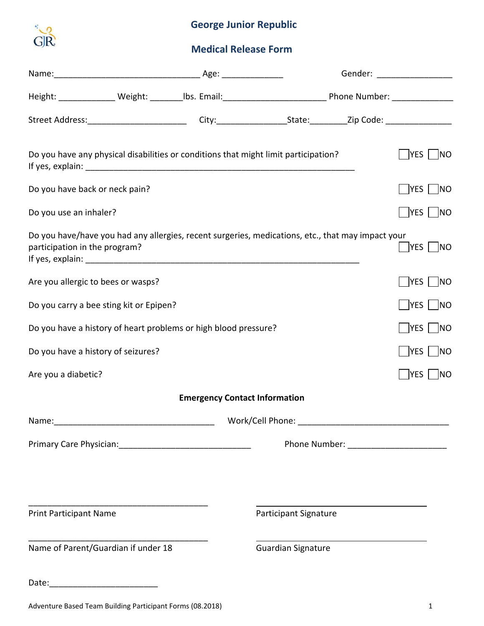

# **George Junior Republic**

# **Medical Release Form**

|                                                                                                                                    |                                      |                              | Gender: ___________________                      |  |
|------------------------------------------------------------------------------------------------------------------------------------|--------------------------------------|------------------------------|--------------------------------------------------|--|
|                                                                                                                                    |                                      |                              |                                                  |  |
|                                                                                                                                    |                                      |                              |                                                  |  |
| Do you have any physical disabilities or conditions that might limit participation?                                                |                                      |                              | $\sqrt{\frac{1}{1}}$ YES $\sqrt{\frac{1}{1}}$ NO |  |
| Do you have back or neck pain?                                                                                                     |                                      |                              | $ YES $ $ NO$                                    |  |
| Do you use an inhaler?                                                                                                             |                                      |                              | YES NO                                           |  |
| Do you have/have you had any allergies, recent surgeries, medications, etc., that may impact your<br>participation in the program? |                                      |                              | $YES$   $NO$                                     |  |
| Are you allergic to bees or wasps?                                                                                                 |                                      |                              | $ YES $ $ NO$                                    |  |
| Do you carry a bee sting kit or Epipen?                                                                                            |                                      |                              | $YES$ $NO$                                       |  |
| Do you have a history of heart problems or high blood pressure?                                                                    |                                      |                              | $\exists$ YES $\vert$ $\vert$ NO                 |  |
| Do you have a history of seizures?                                                                                                 |                                      |                              | $YES \cup NO$                                    |  |
| Are you a diabetic?                                                                                                                |                                      |                              | $YES$   NO                                       |  |
|                                                                                                                                    | <b>Emergency Contact Information</b> |                              |                                                  |  |
|                                                                                                                                    |                                      |                              |                                                  |  |
|                                                                                                                                    |                                      |                              | Phone Number: _________________________          |  |
|                                                                                                                                    |                                      |                              |                                                  |  |
| <b>Print Participant Name</b>                                                                                                      |                                      | <b>Participant Signature</b> |                                                  |  |
| Name of Parent/Guardian if under 18                                                                                                |                                      | <b>Guardian Signature</b>    |                                                  |  |
|                                                                                                                                    |                                      |                              |                                                  |  |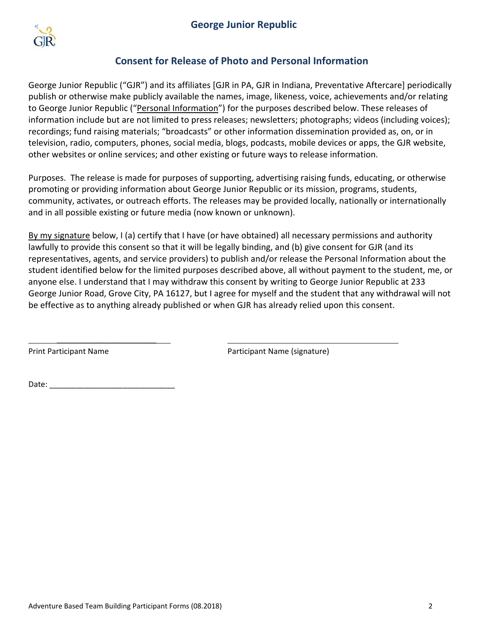

## **Consent for Release of Photo and Personal Information**

George Junior Republic ("GJR") and its affiliates [GJR in PA, GJR in Indiana, Preventative Aftercare] periodically publish or otherwise make publicly available the names, image, likeness, voice, achievements and/or relating to George Junior Republic ("Personal Information") for the purposes described below. These releases of information include but are not limited to press releases; newsletters; photographs; videos (including voices); recordings; fund raising materials; "broadcasts" or other information dissemination provided as, on, or in television, radio, computers, phones, social media, blogs, podcasts, mobile devices or apps, the GJR website, other websites or online services; and other existing or future ways to release information.

Purposes. The release is made for purposes of supporting, advertising raising funds, educating, or otherwise promoting or providing information about George Junior Republic or its mission, programs, students, community, activates, or outreach efforts. The releases may be provided locally, nationally or internationally and in all possible existing or future media (now known or unknown).

By my signature below, I (a) certify that I have (or have obtained) all necessary permissions and authority lawfully to provide this consent so that it will be legally binding, and (b) give consent for GJR (and its representatives, agents, and service providers) to publish and/or release the Personal Information about the student identified below for the limited purposes described above, all without payment to the student, me, or anyone else. I understand that I may withdraw this consent by writing to George Junior Republic at 233 George Junior Road, Grove City, PA 16127, but I agree for myself and the student that any withdrawal will not be effective as to anything already published or when GJR has already relied upon this consent.

\_\_\_\_\_\_\_\_\_\_\_\_\_\_\_\_\_\_\_\_\_\_\_

Print Participant Name Participant Name (signature)

Date: $\mathsf{L}$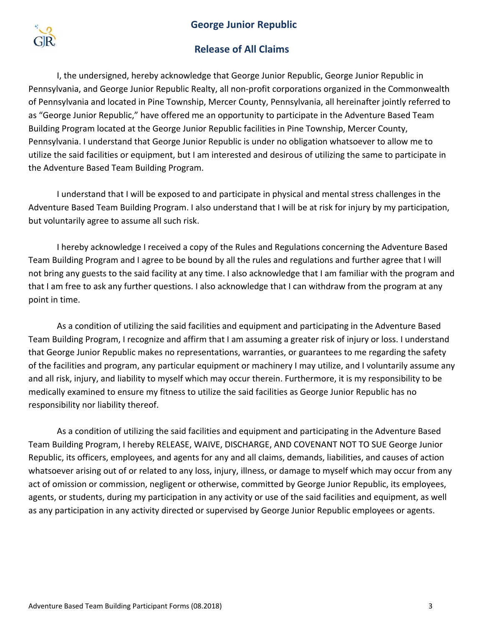#### **George Junior Republic**



### **Release of All Claims**

I, the undersigned, hereby acknowledge that George Junior Republic, George Junior Republic in Pennsylvania, and George Junior Republic Realty, all non-profit corporations organized in the Commonwealth of Pennsylvania and located in Pine Township, Mercer County, Pennsylvania, all hereinafter jointly referred to as "George Junior Republic," have offered me an opportunity to participate in the Adventure Based Team Building Program located at the George Junior Republic facilities in Pine Township, Mercer County, Pennsylvania. I understand that George Junior Republic is under no obligation whatsoever to allow me to utilize the said facilities or equipment, but I am interested and desirous of utilizing the same to participate in the Adventure Based Team Building Program.

I understand that I will be exposed to and participate in physical and mental stress challenges in the Adventure Based Team Building Program. I also understand that I will be at risk for injury by my participation, but voluntarily agree to assume all such risk.

I hereby acknowledge I received a copy of the Rules and Regulations concerning the Adventure Based Team Building Program and I agree to be bound by all the rules and regulations and further agree that I will not bring any guests to the said facility at any time. I also acknowledge that I am familiar with the program and that I am free to ask any further questions. I also acknowledge that I can withdraw from the program at any point in time.

As a condition of utilizing the said facilities and equipment and participating in the Adventure Based Team Building Program, I recognize and affirm that I am assuming a greater risk of injury or loss. I understand that George Junior Republic makes no representations, warranties, or guarantees to me regarding the safety of the facilities and program, any particular equipment or machinery I may utilize, and I voluntarily assume any and all risk, injury, and liability to myself which may occur therein. Furthermore, it is my responsibility to be medically examined to ensure my fitness to utilize the said facilities as George Junior Republic has no responsibility nor liability thereof.

As a condition of utilizing the said facilities and equipment and participating in the Adventure Based Team Building Program, I hereby RELEASE, WAIVE, DISCHARGE, AND COVENANT NOT TO SUE George Junior Republic, its officers, employees, and agents for any and all claims, demands, liabilities, and causes of action whatsoever arising out of or related to any loss, injury, illness, or damage to myself which may occur from any act of omission or commission, negligent or otherwise, committed by George Junior Republic, its employees, agents, or students, during my participation in any activity or use of the said facilities and equipment, as well as any participation in any activity directed or supervised by George Junior Republic employees or agents.